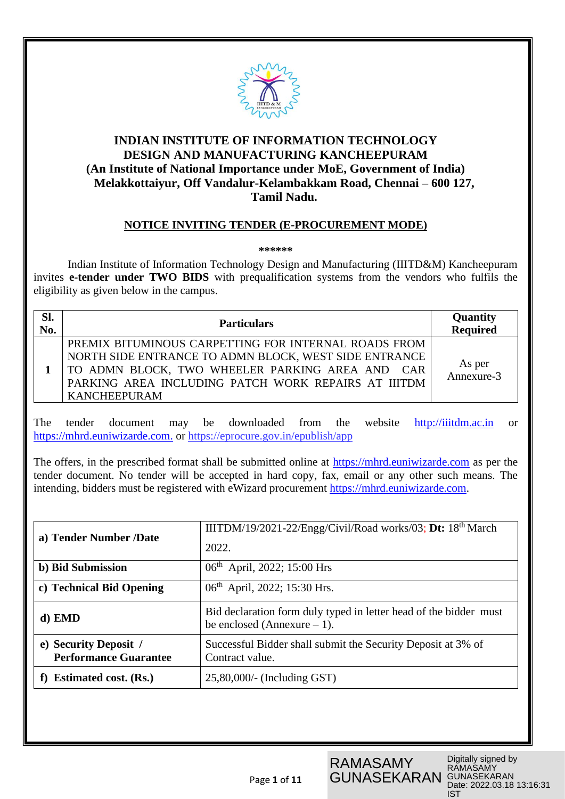

## **INDIAN INSTITUTE OF INFORMATION TECHNOLOGY DESIGN AND MANUFACTURING KANCHEEPURAM (An Institute of National Importance under MoE, Government of India) Melakkottaiyur, Off Vandalur-Kelambakkam Road, Chennai – 600 127, Tamil Nadu.**

## **NOTICE INVITING TENDER (E-PROCUREMENT MODE)**

**\*\*\*\*\*\***

Indian Institute of Information Technology Design and Manufacturing (IIITD&M) Kancheepuram invites **e-tender under TWO BIDS** with prequalification systems from the vendors who fulfils the eligibility as given below in the campus.

| Sl.<br>No. | <b>Particulars</b>                                                                                                                                                                                                                             | Quantity<br>Required    |
|------------|------------------------------------------------------------------------------------------------------------------------------------------------------------------------------------------------------------------------------------------------|-------------------------|
|            | PREMIX BITUMINOUS CARPETTING FOR INTERNAL ROADS FROM<br>NORTH SIDE ENTRANCE TO ADMN BLOCK, WEST SIDE ENTRANCE<br>TO ADMN BLOCK, TWO WHEELER PARKING AREA AND CAR<br>PARKING AREA INCLUDING PATCH WORK REPAIRS AT IIITDM<br><b>KANCHEEPURAM</b> | As per<br>Annexure- $3$ |

The tender document may be downloaded from the website [http://iiitdm.ac.in](http://iiitdm.ac.in/) or [https://mhrd.euniwizarde.com.](https://mhrd.euniwizarde.com/) or https://eprocure.gov.in/epublish/app

The offers, in the prescribed format shall be submitted online at https://mhrd.euniwizarde.com as per the tender document. No tender will be accepted in hard copy, fax, email or any other such means. The intending, bidders must be registered with eWizard procurement [https://mhrd.euniwizarde.com.](https://mhrd.euniwizarde.com/)

| a) Tender Number /Date                                | IIITDM/19/2021-22/Engg/Civil/Road works/03; Dt: 18 <sup>th</sup> March                             |  |  |
|-------------------------------------------------------|----------------------------------------------------------------------------------------------------|--|--|
|                                                       | 2022.                                                                                              |  |  |
| b) Bid Submission                                     | 06 <sup>th</sup> April, 2022; 15:00 Hrs                                                            |  |  |
| c) Technical Bid Opening                              | 06 <sup>th</sup> April, 2022; 15:30 Hrs.                                                           |  |  |
| d) EMD                                                | Bid declaration form duly typed in letter head of the bidder must<br>be enclosed (Annexure $-1$ ). |  |  |
| e) Security Deposit /<br><b>Performance Guarantee</b> | Successful Bidder shall submit the Security Deposit at 3% of<br>Contract value.                    |  |  |
| <b>Estimated cost. (Rs.)</b>                          | $25,80,000/$ - (Including GST)                                                                     |  |  |

RAMASAMY

GUNASEKARAN

Digitally signed by RAMASAMY GUNASEKARAN Date: 2022.03.18 13:16:31 IST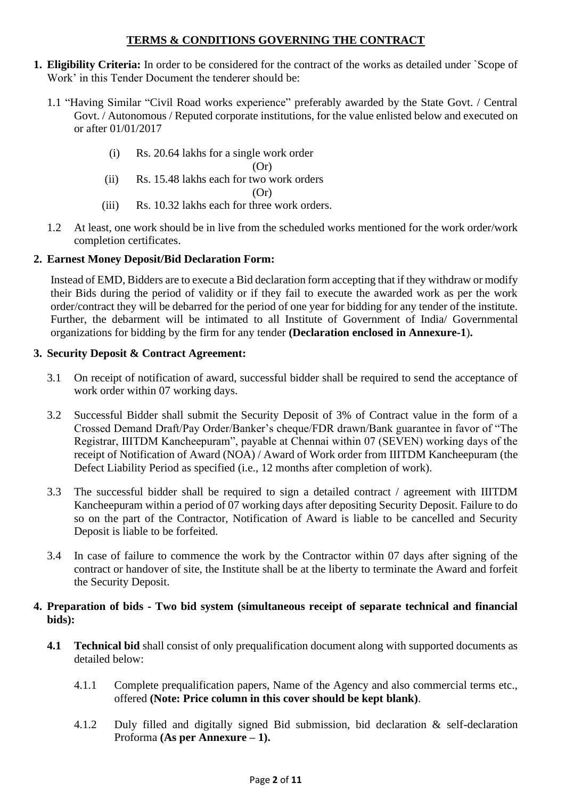## **TERMS & CONDITIONS GOVERNING THE CONTRACT**

- **1. Eligibility Criteria:** In order to be considered for the contract of the works as detailed under `Scope of Work' in this Tender Document the tenderer should be:
	- 1.1 "Having Similar "Civil Road works experience" preferably awarded by the State Govt. / Central Govt. / Autonomous / Reputed corporate institutions, for the value enlisted below and executed on or after 01/01/2017
		- (i) Rs. 20.64 lakhs for a single work order

 $(Or)$ 

(ii) Rs. 15.48 lakhs each for two work orders

 $(Or)$ 

- (iii) Rs. 10.32 lakhs each for three work orders.
- 1.2 At least, one work should be in live from the scheduled works mentioned for the work order/work completion certificates.

## **2. Earnest Money Deposit/Bid Declaration Form:**

Instead of EMD, Bidders are to execute a Bid declaration form accepting that if they withdraw or modify their Bids during the period of validity or if they fail to execute the awarded work as per the work order/contract they will be debarred for the period of one year for bidding for any tender of the institute. Further, the debarment will be intimated to all Institute of Government of India/ Governmental organizations for bidding by the firm for any tender **(Declaration enclosed in Annexure-1**)**.**

## **3. Security Deposit & Contract Agreement:**

- 3.1 On receipt of notification of award, successful bidder shall be required to send the acceptance of work order within 07 working days.
- 3.2 Successful Bidder shall submit the Security Deposit of 3% of Contract value in the form of a Crossed Demand Draft/Pay Order/Banker's cheque/FDR drawn/Bank guarantee in favor of "The Registrar, IIITDM Kancheepuram", payable at Chennai within 07 (SEVEN) working days of the receipt of Notification of Award (NOA) / Award of Work order from IIITDM Kancheepuram (the Defect Liability Period as specified (i.e., 12 months after completion of work).
- 3.3 The successful bidder shall be required to sign a detailed contract / agreement with IIITDM Kancheepuram within a period of 07 working days after depositing Security Deposit. Failure to do so on the part of the Contractor, Notification of Award is liable to be cancelled and Security Deposit is liable to be forfeited.
- 3.4 In case of failure to commence the work by the Contractor within 07 days after signing of the contract or handover of site, the Institute shall be at the liberty to terminate the Award and forfeit the Security Deposit.

## **4. Preparation of bids - Two bid system (simultaneous receipt of separate technical and financial bids):**

- **4.1 Technical bid** shall consist of only prequalification document along with supported documents as detailed below:
	- 4.1.1 Complete prequalification papers, Name of the Agency and also commercial terms etc., offered **(Note: Price column in this cover should be kept blank)**.
	- 4.1.2 Duly filled and digitally signed Bid submission, bid declaration & self-declaration Proforma **(As per Annexure – 1).**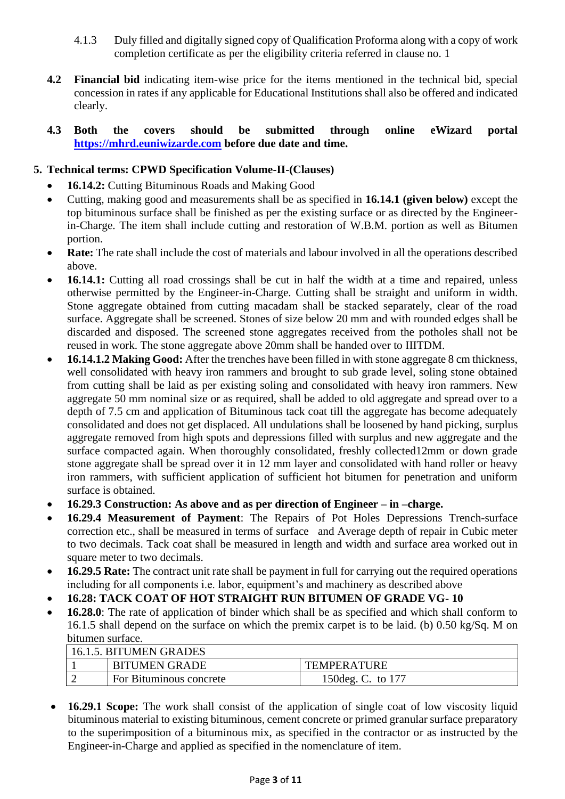- 4.1.3 Duly filled and digitally signed copy of Qualification Proforma along with a copy of work completion certificate as per the eligibility criteria referred in clause no. 1
- **4.2 Financial bid** indicating item-wise price for the items mentioned in the technical bid, special concession in rates if any applicable for Educational Institutions shall also be offered and indicated clearly.

## **4.3 Both the covers should be submitted through online eWizard portal [https://mhrd.euniwizarde.com](https://mhrd.euniwizarde.com/) before due date and time.**

## **5. Technical terms: CPWD Specification Volume-II-(Clauses)**

- **16.14.2:** Cutting Bituminous Roads and Making Good
- Cutting, making good and measurements shall be as specified in **16.14.1 (given below)** except the top bituminous surface shall be finished as per the existing surface or as directed by the Engineerin-Charge. The item shall include cutting and restoration of W.B.M. portion as well as Bitumen portion.
- **Rate:** The rate shall include the cost of materials and labour involved in all the operations described above.
- **16.14.1:** Cutting all road crossings shall be cut in half the width at a time and repaired, unless otherwise permitted by the Engineer-in-Charge. Cutting shall be straight and uniform in width. Stone aggregate obtained from cutting macadam shall be stacked separately, clear of the road surface. Aggregate shall be screened. Stones of size below 20 mm and with rounded edges shall be discarded and disposed. The screened stone aggregates received from the potholes shall not be reused in work. The stone aggregate above 20mm shall be handed over to IIITDM.
- **16.14.1.2 Making Good:** After the trenches have been filled in with stone aggregate 8 cm thickness, well consolidated with heavy iron rammers and brought to sub grade level, soling stone obtained from cutting shall be laid as per existing soling and consolidated with heavy iron rammers. New aggregate 50 mm nominal size or as required, shall be added to old aggregate and spread over to a depth of 7.5 cm and application of Bituminous tack coat till the aggregate has become adequately consolidated and does not get displaced. All undulations shall be loosened by hand picking, surplus aggregate removed from high spots and depressions filled with surplus and new aggregate and the surface compacted again. When thoroughly consolidated, freshly collected12mm or down grade stone aggregate shall be spread over it in 12 mm layer and consolidated with hand roller or heavy iron rammers, with sufficient application of sufficient hot bitumen for penetration and uniform surface is obtained.
- **16.29.3 Construction: As above and as per direction of Engineer – in –charge.**
- **16.29.4 Measurement of Payment**: The Repairs of Pot Holes Depressions Trench-surface correction etc., shall be measured in terms of surface and Average depth of repair in Cubic meter to two decimals. Tack coat shall be measured in length and width and surface area worked out in square meter to two decimals.
- **16.29.5 Rate:** The contract unit rate shall be payment in full for carrying out the required operations including for all components i.e. labor, equipment's and machinery as described above
- **16.28: TACK COAT OF HOT STRAIGHT RUN BITUMEN OF GRADE VG- 10**
- **16.28.0**: The rate of application of binder which shall be as specified and which shall conform to 16.1.5 shall depend on the surface on which the premix carpet is to be laid. (b) 0.50 kg/Sq. M on bitumen surface.

| 16.1.5. BITUMEN GRADES |                                |                    |  |  |  |
|------------------------|--------------------------------|--------------------|--|--|--|
|                        | <b>BITUMEN GRADE</b>           | <b>TEMPERATURE</b> |  |  |  |
|                        | <b>For Bituminous concrete</b> | 150 deg. C. to 177 |  |  |  |

• **16.29.1 Scope:** The work shall consist of the application of single coat of low viscosity liquid bituminous material to existing bituminous, cement concrete or primed granular surface preparatory to the superimposition of a bituminous mix, as specified in the contractor or as instructed by the Engineer-in-Charge and applied as specified in the nomenclature of item.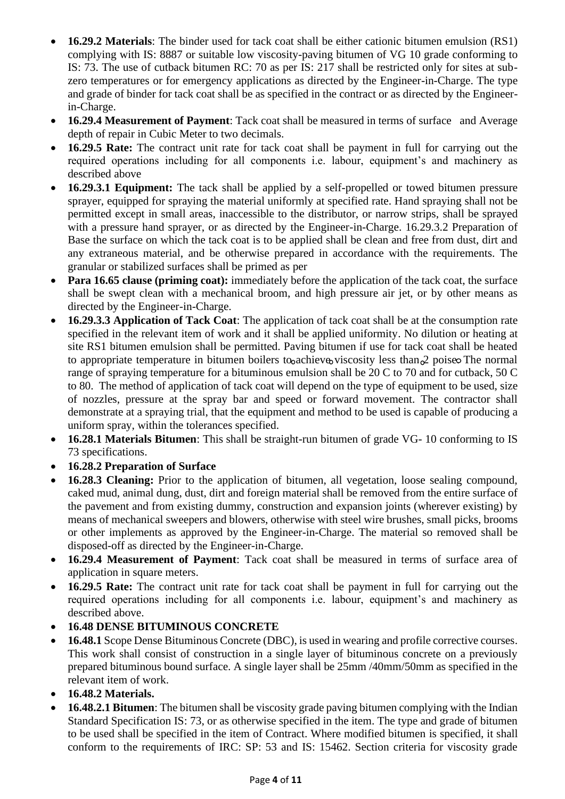- **16.29.2 Materials**: The binder used for tack coat shall be either cationic bitumen emulsion (RS1) complying with IS: 8887 or suitable low viscosity-paving bitumen of VG 10 grade conforming to IS: 73. The use of cutback bitumen RC: 70 as per IS: 217 shall be restricted only for sites at subzero temperatures or for emergency applications as directed by the Engineer-in-Charge. The type and grade of binder for tack coat shall be as specified in the contract or as directed by the Engineerin-Charge.
- **16.29.4 Measurement of Payment**: Tack coat shall be measured in terms of surface and Average depth of repair in Cubic Meter to two decimals.
- **16.29.5 Rate:** The contract unit rate for tack coat shall be payment in full for carrying out the required operations including for all components i.e. labour, equipment's and machinery as described above
- **16.29.3.1 Equipment:** The tack shall be applied by a self-propelled or towed bitumen pressure sprayer, equipped for spraying the material uniformly at specified rate. Hand spraying shall not be permitted except in small areas, inaccessible to the distributor, or narrow strips, shall be sprayed with a pressure hand sprayer, or as directed by the Engineer-in-Charge. 16.29.3.2 Preparation of Base the surface on which the tack coat is to be applied shall be clean and free from dust, dirt and any extraneous material, and be otherwise prepared in accordance with the requirements. The granular or stabilized surfaces shall be primed as per
- **Para 16.65 clause (priming coat):** immediately before the application of the tack coat, the surface shall be swept clean with a mechanical broom, and high pressure air jet, or by other means as directed by the Engineer-in-Charge.
- **16.29.3.3 Application of Tack Coat**: The application of tack coat shall be at the consumption rate specified in the relevant item of work and it shall be applied uniformity. No dilution or heating at site RS1 bitumen emulsion shall be permitted. Paving bitumen if use for tack coat shall be heated to appropriate temperature in bitumen boilers to achieve viscosity less than  $\alpha$  poise. The normal range of spraying temperature for a bituminous emulsion shall be 20 C to 70 and for cutback, 50 C to 80. The method of application of tack coat will depend on the type of equipment to be used, size of nozzles, pressure at the spray bar and speed or forward movement. The contractor shall demonstrate at a spraying trial, that the equipment and method to be used is capable of producing a uniform spray, within the tolerances specified.
- **16.28.1 Materials Bitumen**: This shall be straight-run bitumen of grade VG- 10 conforming to IS 73 specifications.
- **16.28.2 Preparation of Surface**
- **16.28.3 Cleaning:** Prior to the application of bitumen, all vegetation, loose sealing compound, caked mud, animal dung, dust, dirt and foreign material shall be removed from the entire surface of the pavement and from existing dummy, construction and expansion joints (wherever existing) by means of mechanical sweepers and blowers, otherwise with steel wire brushes, small picks, brooms or other implements as approved by the Engineer-in-Charge. The material so removed shall be disposed-off as directed by the Engineer-in-Charge.
- **16.29.4 Measurement of Payment**: Tack coat shall be measured in terms of surface area of application in square meters.
- **16.29.5 Rate:** The contract unit rate for tack coat shall be payment in full for carrying out the required operations including for all components i.e. labour, equipment's and machinery as described above.
- **16.48 DENSE BITUMINOUS CONCRETE**
- **16.48.1** Scope Dense Bituminous Concrete (DBC), is used in wearing and profile corrective courses. This work shall consist of construction in a single layer of bituminous concrete on a previously prepared bituminous bound surface. A single layer shall be 25mm /40mm/50mm as specified in the relevant item of work.
- **16.48.2 Materials.**
- **16.48.2.1 Bitumen**: The bitumen shall be viscosity grade paving bitumen complying with the Indian Standard Specification IS: 73, or as otherwise specified in the item. The type and grade of bitumen to be used shall be specified in the item of Contract. Where modified bitumen is specified, it shall conform to the requirements of IRC: SP: 53 and IS: 15462. Section criteria for viscosity grade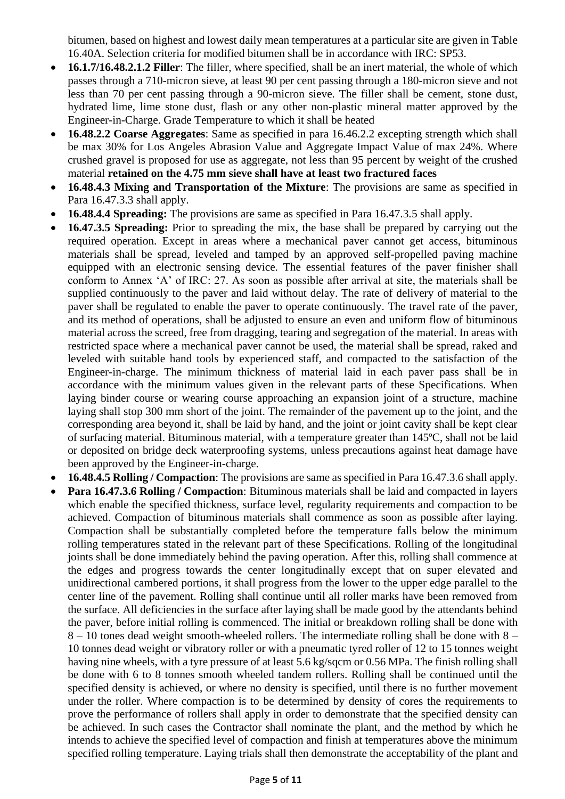bitumen, based on highest and lowest daily mean temperatures at a particular site are given in Table 16.40A. Selection criteria for modified bitumen shall be in accordance with IRC: SP53.

- **16.1.7/16.48.2.1.2 Filler**: The filler, where specified, shall be an inert material, the whole of which passes through a 710-micron sieve, at least 90 per cent passing through a 180-micron sieve and not less than 70 per cent passing through a 90-micron sieve. The filler shall be cement, stone dust, hydrated lime, lime stone dust, flash or any other non-plastic mineral matter approved by the Engineer-in-Charge. Grade Temperature to which it shall be heated
- **16.48.2.2 Coarse Aggregates**: Same as specified in para 16.46.2.2 excepting strength which shall be max 30% for Los Angeles Abrasion Value and Aggregate Impact Value of max 24%. Where crushed gravel is proposed for use as aggregate, not less than 95 percent by weight of the crushed material **retained on the 4.75 mm sieve shall have at least two fractured faces**
- **16.48.4.3 Mixing and Transportation of the Mixture**: The provisions are same as specified in Para 16.47.3.3 shall apply.
- **16.48.4.4 Spreading:** The provisions are same as specified in Para 16.47.3.5 shall apply.
- **16.47.3.5 Spreading:** Prior to spreading the mix, the base shall be prepared by carrying out the required operation. Except in areas where a mechanical paver cannot get access, bituminous materials shall be spread, leveled and tamped by an approved self-propelled paving machine equipped with an electronic sensing device. The essential features of the paver finisher shall conform to Annex 'A' of IRC: 27. As soon as possible after arrival at site, the materials shall be supplied continuously to the paver and laid without delay. The rate of delivery of material to the paver shall be regulated to enable the paver to operate continuously. The travel rate of the paver, and its method of operations, shall be adjusted to ensure an even and uniform flow of bituminous material across the screed, free from dragging, tearing and segregation of the material. In areas with restricted space where a mechanical paver cannot be used, the material shall be spread, raked and leveled with suitable hand tools by experienced staff, and compacted to the satisfaction of the Engineer-in-charge. The minimum thickness of material laid in each paver pass shall be in accordance with the minimum values given in the relevant parts of these Specifications. When laying binder course or wearing course approaching an expansion joint of a structure, machine laying shall stop 300 mm short of the joint. The remainder of the pavement up to the joint, and the corresponding area beyond it, shall be laid by hand, and the joint or joint cavity shall be kept clear of surfacing material. Bituminous material, with a temperature greater than 145ºC, shall not be laid or deposited on bridge deck waterproofing systems, unless precautions against heat damage have been approved by the Engineer-in-charge.
- **16.48.4.5 Rolling / Compaction**: The provisions are same as specified in Para 16.47.3.6 shall apply.
- **Para 16.47.3.6 Rolling / Compaction**: Bituminous materials shall be laid and compacted in layers which enable the specified thickness, surface level, regularity requirements and compaction to be achieved. Compaction of bituminous materials shall commence as soon as possible after laying. Compaction shall be substantially completed before the temperature falls below the minimum rolling temperatures stated in the relevant part of these Specifications. Rolling of the longitudinal joints shall be done immediately behind the paving operation. After this, rolling shall commence at the edges and progress towards the center longitudinally except that on super elevated and unidirectional cambered portions, it shall progress from the lower to the upper edge parallel to the center line of the pavement. Rolling shall continue until all roller marks have been removed from the surface. All deficiencies in the surface after laying shall be made good by the attendants behind the paver, before initial rolling is commenced. The initial or breakdown rolling shall be done with 8 – 10 tones dead weight smooth-wheeled rollers. The intermediate rolling shall be done with 8 – 10 tonnes dead weight or vibratory roller or with a pneumatic tyred roller of 12 to 15 tonnes weight having nine wheels, with a tyre pressure of at least 5.6 kg/sqcm or 0.56 MPa. The finish rolling shall be done with 6 to 8 tonnes smooth wheeled tandem rollers. Rolling shall be continued until the specified density is achieved, or where no density is specified, until there is no further movement under the roller. Where compaction is to be determined by density of cores the requirements to prove the performance of rollers shall apply in order to demonstrate that the specified density can be achieved. In such cases the Contractor shall nominate the plant, and the method by which he intends to achieve the specified level of compaction and finish at temperatures above the minimum specified rolling temperature. Laying trials shall then demonstrate the acceptability of the plant and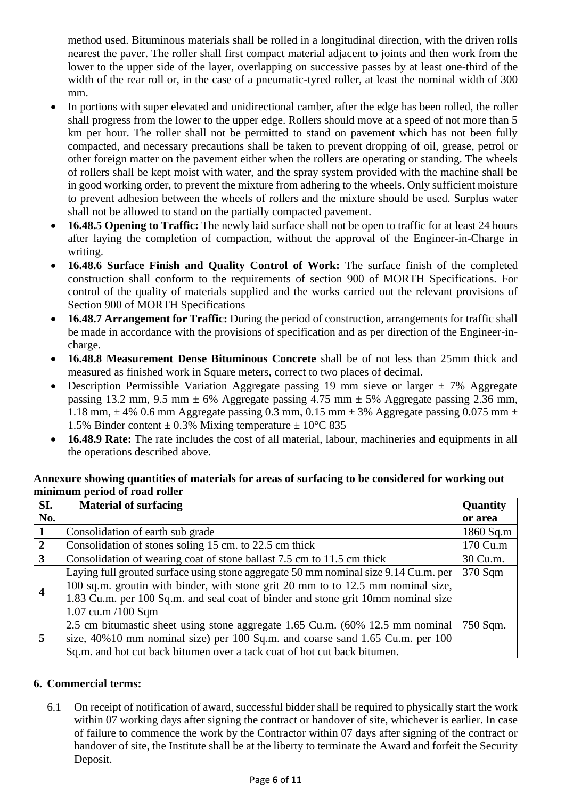method used. Bituminous materials shall be rolled in a longitudinal direction, with the driven rolls nearest the paver. The roller shall first compact material adjacent to joints and then work from the lower to the upper side of the layer, overlapping on successive passes by at least one-third of the width of the rear roll or, in the case of a pneumatic-tyred roller, at least the nominal width of 300 mm.

- In portions with super elevated and unidirectional camber, after the edge has been rolled, the roller shall progress from the lower to the upper edge. Rollers should move at a speed of not more than 5 km per hour. The roller shall not be permitted to stand on pavement which has not been fully compacted, and necessary precautions shall be taken to prevent dropping of oil, grease, petrol or other foreign matter on the pavement either when the rollers are operating or standing. The wheels of rollers shall be kept moist with water, and the spray system provided with the machine shall be in good working order, to prevent the mixture from adhering to the wheels. Only sufficient moisture to prevent adhesion between the wheels of rollers and the mixture should be used. Surplus water shall not be allowed to stand on the partially compacted pavement.
- **16.48.5 Opening to Traffic:** The newly laid surface shall not be open to traffic for at least 24 hours after laying the completion of compaction, without the approval of the Engineer-in-Charge in writing.
- **16.48.6 Surface Finish and Quality Control of Work:** The surface finish of the completed construction shall conform to the requirements of section 900 of MORTH Specifications. For control of the quality of materials supplied and the works carried out the relevant provisions of Section 900 of MORTH Specifications
- **16.48.7 Arrangement for Traffic:** During the period of construction, arrangements for traffic shall be made in accordance with the provisions of specification and as per direction of the Engineer-incharge.
- **16.48.8 Measurement Dense Bituminous Concrete** shall be of not less than 25mm thick and measured as finished work in Square meters, correct to two places of decimal.
- Description Permissible Variation Aggregate passing 19 mm sieve or larger  $\pm$  7% Aggregate passing 13.2 mm, 9.5 mm  $\pm$  6% Aggregate passing 4.75 mm  $\pm$  5% Aggregate passing 2.36 mm, 1.18 mm,  $\pm$  4% 0.6 mm Aggregate passing 0.3 mm, 0.15 mm  $\pm$  3% Aggregate passing 0.075 mm  $\pm$ 1.5% Binder content  $\pm$  0.3% Mixing temperature  $\pm$  10°C 835
- **16.48.9 Rate:** The rate includes the cost of all material, labour, machineries and equipments in all the operations described above.

#### **Annexure showing quantities of materials for areas of surfacing to be considered for working out minimum period of road roller**

| SI.                     | <b>Material of surfacing</b>                                                        | Quantity  |
|-------------------------|-------------------------------------------------------------------------------------|-----------|
| No.                     |                                                                                     | or area   |
|                         | Consolidation of earth sub grade                                                    | 1860 Sq.m |
| $\overline{2}$          | Consolidation of stones soling 15 cm. to 22.5 cm thick                              | 170 Cu.m  |
| $\overline{3}$          | Consolidation of wearing coat of stone ballast 7.5 cm to 11.5 cm thick              | 30 Cu.m.  |
| $\overline{\mathbf{4}}$ | Laying full grouted surface using stone aggregate 50 mm nominal size 9.14 Cu.m. per | 370 Sqm   |
|                         | 100 sq.m. groutin with binder, with stone grit 20 mm to to 12.5 mm nominal size,    |           |
|                         | 1.83 Cu.m. per 100 Sq.m. and seal coat of binder and stone grit 10mm nominal size   |           |
|                         | $1.07$ cu.m $/100$ Sqm                                                              |           |
| 5                       | 2.5 cm bitumastic sheet using stone aggregate 1.65 Cu.m. (60% 12.5 mm nominal       | 750 Sqm.  |
|                         | size, 40%10 mm nominal size) per 100 Sq.m. and coarse sand 1.65 Cu.m. per 100       |           |
|                         | Sq.m. and hot cut back bitumen over a tack coat of hot cut back bitumen.            |           |

## **6. Commercial terms:**

6.1 On receipt of notification of award, successful bidder shall be required to physically start the work within 07 working days after signing the contract or handover of site, whichever is earlier. In case of failure to commence the work by the Contractor within 07 days after signing of the contract or handover of site, the Institute shall be at the liberty to terminate the Award and forfeit the Security Deposit.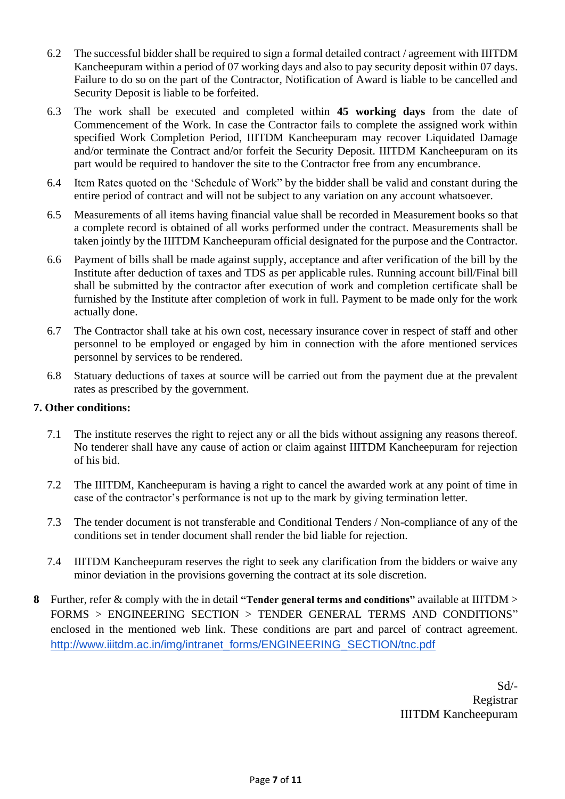- 6.2 The successful bidder shall be required to sign a formal detailed contract / agreement with IIITDM Kancheepuram within a period of 07 working days and also to pay security deposit within 07 days. Failure to do so on the part of the Contractor, Notification of Award is liable to be cancelled and Security Deposit is liable to be forfeited.
- 6.3 The work shall be executed and completed within **45 working days** from the date of Commencement of the Work. In case the Contractor fails to complete the assigned work within specified Work Completion Period, IIITDM Kancheepuram may recover Liquidated Damage and/or terminate the Contract and/or forfeit the Security Deposit. IIITDM Kancheepuram on its part would be required to handover the site to the Contractor free from any encumbrance.
- 6.4 Item Rates quoted on the 'Schedule of Work" by the bidder shall be valid and constant during the entire period of contract and will not be subject to any variation on any account whatsoever.
- 6.5 Measurements of all items having financial value shall be recorded in Measurement books so that a complete record is obtained of all works performed under the contract. Measurements shall be taken jointly by the IIITDM Kancheepuram official designated for the purpose and the Contractor.
- 6.6 Payment of bills shall be made against supply, acceptance and after verification of the bill by the Institute after deduction of taxes and TDS as per applicable rules. Running account bill/Final bill shall be submitted by the contractor after execution of work and completion certificate shall be furnished by the Institute after completion of work in full. Payment to be made only for the work actually done.
- 6.7 The Contractor shall take at his own cost, necessary insurance cover in respect of staff and other personnel to be employed or engaged by him in connection with the afore mentioned services personnel by services to be rendered.
- 6.8 Statuary deductions of taxes at source will be carried out from the payment due at the prevalent rates as prescribed by the government.

## **7. Other conditions:**

- 7.1 The institute reserves the right to reject any or all the bids without assigning any reasons thereof. No tenderer shall have any cause of action or claim against IIITDM Kancheepuram for rejection of his bid.
- 7.2 The IIITDM, Kancheepuram is having a right to cancel the awarded work at any point of time in case of the contractor's performance is not up to the mark by giving termination letter.
- 7.3 The tender document is not transferable and Conditional Tenders / Non-compliance of any of the conditions set in tender document shall render the bid liable for rejection.
- 7.4 IIITDM Kancheepuram reserves the right to seek any clarification from the bidders or waive any minor deviation in the provisions governing the contract at its sole discretion.
- **8** Further, refer & comply with the in detail **"Tender general terms and conditions"** available at IIITDM > FORMS > ENGINEERING SECTION > TENDER GENERAL TERMS AND CONDITIONS" enclosed in the mentioned web link. These conditions are part and parcel of contract agreement. [http://www.iiitdm.ac.in/img/intranet\\_forms/ENGINEERING\\_SECTION/tnc.pdf](http://www.iiitdm.ac.in/img/intranet_forms/ENGINEERING_SECTION/tnc.pdf)

Sd/- Registrar IIITDM Kancheepuram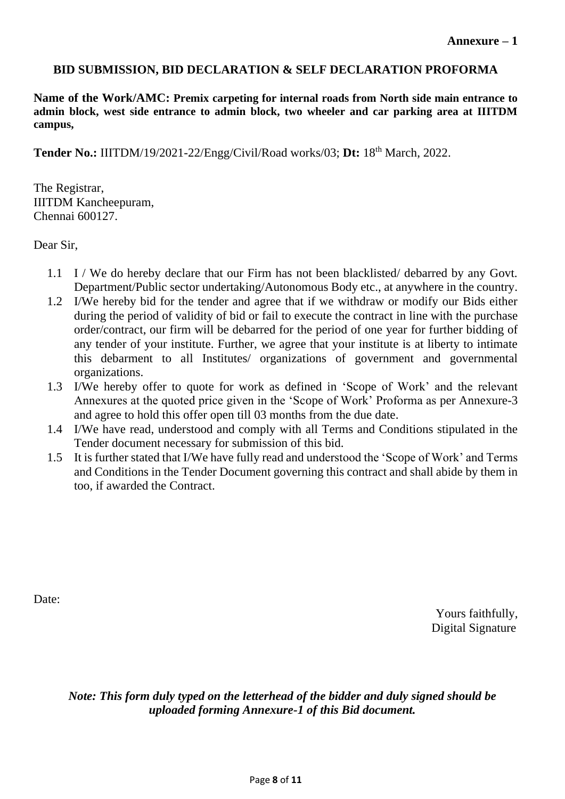## **BID SUBMISSION, BID DECLARATION & SELF DECLARATION PROFORMA**

**Name of the Work/AMC: Premix carpeting for internal roads from North side main entrance to admin block, west side entrance to admin block, two wheeler and car parking area at IIITDM campus,**

**Tender No.:** IIITDM/19/2021-22/Engg/Civil/Road works/03; **Dt:** 18th March, 2022.

The Registrar, IIITDM Kancheepuram, Chennai 600127.

Dear Sir,

- 1.1 I / We do hereby declare that our Firm has not been blacklisted/ debarred by any Govt. Department/Public sector undertaking/Autonomous Body etc., at anywhere in the country.
- 1.2 I/We hereby bid for the tender and agree that if we withdraw or modify our Bids either during the period of validity of bid or fail to execute the contract in line with the purchase order/contract, our firm will be debarred for the period of one year for further bidding of any tender of your institute. Further, we agree that your institute is at liberty to intimate this debarment to all Institutes/ organizations of government and governmental organizations.
- 1.3 I/We hereby offer to quote for work as defined in 'Scope of Work' and the relevant Annexures at the quoted price given in the 'Scope of Work' Proforma as per Annexure-3 and agree to hold this offer open till 03 months from the due date.
- 1.4 I/We have read, understood and comply with all Terms and Conditions stipulated in the Tender document necessary for submission of this bid.
- 1.5 It is further stated that I/We have fully read and understood the 'Scope of Work' and Terms and Conditions in the Tender Document governing this contract and shall abide by them in too, if awarded the Contract.

Date:

Yours faithfully, Digital Signature

*Note: This form duly typed on the letterhead of the bidder and duly signed should be uploaded forming Annexure-1 of this Bid document.*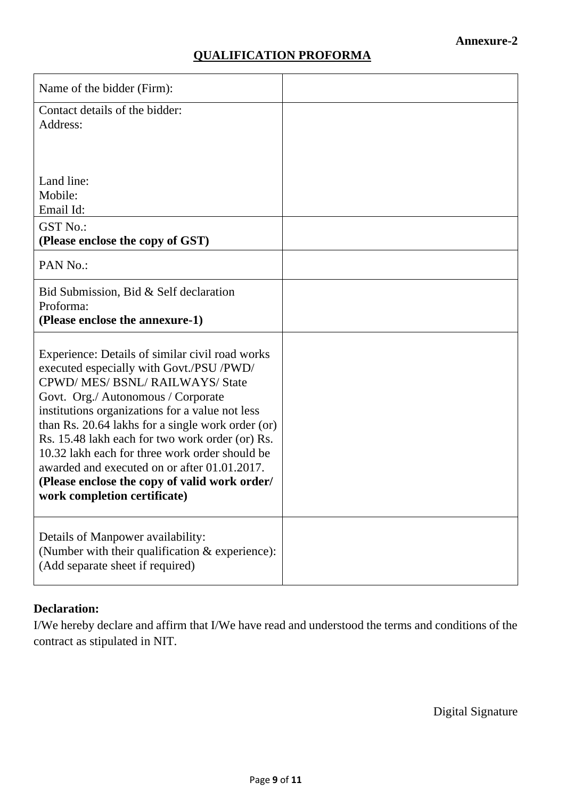## **QUALIFICATION PROFORMA**

| Name of the bidder (Firm):                                                                                                                                                                                                                                                                                                                                                                                                                                                                                      |  |
|-----------------------------------------------------------------------------------------------------------------------------------------------------------------------------------------------------------------------------------------------------------------------------------------------------------------------------------------------------------------------------------------------------------------------------------------------------------------------------------------------------------------|--|
| Contact details of the bidder:<br>Address:                                                                                                                                                                                                                                                                                                                                                                                                                                                                      |  |
| Land line:<br>Mobile:<br>Email Id:<br><b>GST No.:</b>                                                                                                                                                                                                                                                                                                                                                                                                                                                           |  |
| (Please enclose the copy of GST)                                                                                                                                                                                                                                                                                                                                                                                                                                                                                |  |
| PAN No.:                                                                                                                                                                                                                                                                                                                                                                                                                                                                                                        |  |
| Bid Submission, Bid & Self declaration<br>Proforma:<br>(Please enclose the annexure-1)                                                                                                                                                                                                                                                                                                                                                                                                                          |  |
| Experience: Details of similar civil road works<br>executed especially with Govt./PSU /PWD/<br>CPWD/MES/BSNL/RAILWAYS/State<br>Govt. Org./ Autonomous / Corporate<br>institutions organizations for a value not less<br>than Rs. 20.64 lakhs for a single work order (or)<br>Rs. 15.48 lakh each for two work order (or) Rs.<br>10.32 lakh each for three work order should be<br>awarded and executed on or after 01.01.2017.<br>(Please enclose the copy of valid work order/<br>work completion certificate) |  |
| Details of Manpower availability:<br>(Number with their qualification & experience):<br>(Add separate sheet if required)                                                                                                                                                                                                                                                                                                                                                                                        |  |

## **Declaration:**

I/We hereby declare and affirm that I/We have read and understood the terms and conditions of the contract as stipulated in NIT.

Digital Signature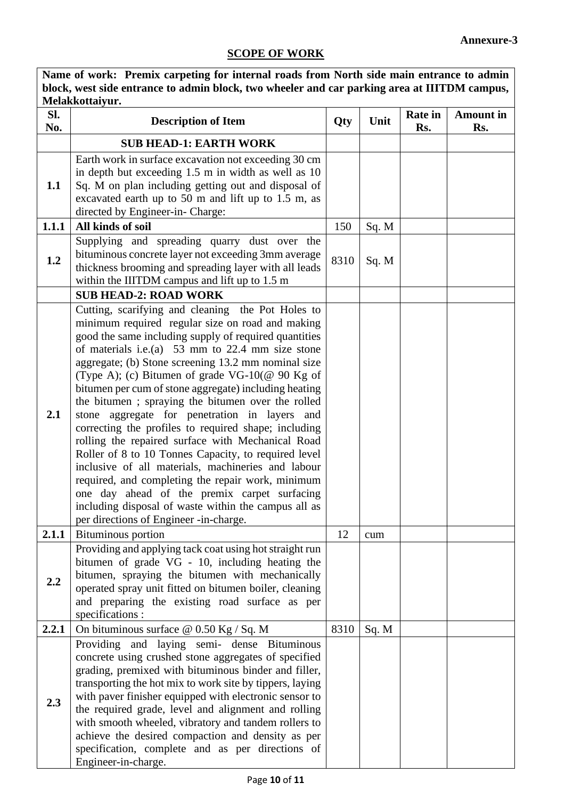# **SCOPE OF WORK**

| Name of work: Premix carpeting for internal roads from North side main entrance to admin<br>block, west side entrance to admin block, two wheeler and car parking area at IIITDM campus, |                                                                                                                                                                                                                                                                                                                                                                                                                                                                                                                                                                                                                                                                                                                                                                                                                                                                                                                                         |      |       |                       |                         |
|------------------------------------------------------------------------------------------------------------------------------------------------------------------------------------------|-----------------------------------------------------------------------------------------------------------------------------------------------------------------------------------------------------------------------------------------------------------------------------------------------------------------------------------------------------------------------------------------------------------------------------------------------------------------------------------------------------------------------------------------------------------------------------------------------------------------------------------------------------------------------------------------------------------------------------------------------------------------------------------------------------------------------------------------------------------------------------------------------------------------------------------------|------|-------|-----------------------|-------------------------|
| Melakkottaiyur.                                                                                                                                                                          |                                                                                                                                                                                                                                                                                                                                                                                                                                                                                                                                                                                                                                                                                                                                                                                                                                                                                                                                         |      |       |                       |                         |
| Sl.<br>No.                                                                                                                                                                               | <b>Description of Item</b>                                                                                                                                                                                                                                                                                                                                                                                                                                                                                                                                                                                                                                                                                                                                                                                                                                                                                                              | Qty  | Unit  | <b>Rate in</b><br>Rs. | <b>Amount in</b><br>Rs. |
|                                                                                                                                                                                          | <b>SUB HEAD-1: EARTH WORK</b>                                                                                                                                                                                                                                                                                                                                                                                                                                                                                                                                                                                                                                                                                                                                                                                                                                                                                                           |      |       |                       |                         |
| 1.1                                                                                                                                                                                      | Earth work in surface excavation not exceeding 30 cm<br>in depth but exceeding 1.5 m in width as well as 10<br>Sq. M on plan including getting out and disposal of<br>excavated earth up to 50 m and lift up to 1.5 m, as<br>directed by Engineer-in- Charge:                                                                                                                                                                                                                                                                                                                                                                                                                                                                                                                                                                                                                                                                           |      |       |                       |                         |
| 1.1.1                                                                                                                                                                                    | All kinds of soil                                                                                                                                                                                                                                                                                                                                                                                                                                                                                                                                                                                                                                                                                                                                                                                                                                                                                                                       | 150  | Sq. M |                       |                         |
| 1.2                                                                                                                                                                                      | Supplying and spreading quarry dust over the<br>bituminous concrete layer not exceeding 3mm average<br>thickness brooming and spreading layer with all leads<br>within the IIITDM campus and lift up to 1.5 m                                                                                                                                                                                                                                                                                                                                                                                                                                                                                                                                                                                                                                                                                                                           | 8310 | Sq. M |                       |                         |
|                                                                                                                                                                                          | <b>SUB HEAD-2: ROAD WORK</b>                                                                                                                                                                                                                                                                                                                                                                                                                                                                                                                                                                                                                                                                                                                                                                                                                                                                                                            |      |       |                       |                         |
| 2.1                                                                                                                                                                                      | Cutting, scarifying and cleaning the Pot Holes to<br>minimum required regular size on road and making<br>good the same including supply of required quantities<br>of materials i.e.(a) $53 \text{ mm}$ to 22.4 mm size stone<br>aggregate; (b) Stone screening 13.2 mm nominal size<br>(Type A); (c) Bitumen of grade VG-10(@ 90 Kg of<br>bitumen per cum of stone aggregate) including heating<br>the bitumen; spraying the bitumen over the rolled<br>stone aggregate for penetration in layers and<br>correcting the profiles to required shape; including<br>rolling the repaired surface with Mechanical Road<br>Roller of 8 to 10 Tonnes Capacity, to required level<br>inclusive of all materials, machineries and labour<br>required, and completing the repair work, minimum<br>one day ahead of the premix carpet surfacing<br>including disposal of waste within the campus all as<br>per directions of Engineer -in-charge. |      |       |                       |                         |
| 2.1.1                                                                                                                                                                                    | Bituminous portion                                                                                                                                                                                                                                                                                                                                                                                                                                                                                                                                                                                                                                                                                                                                                                                                                                                                                                                      | 12   | cum   |                       |                         |
| 2.2                                                                                                                                                                                      | Providing and applying tack coat using hot straight run<br>bitumen of grade VG - 10, including heating the<br>bitumen, spraying the bitumen with mechanically<br>operated spray unit fitted on bitumen boiler, cleaning<br>and preparing the existing road surface as per<br>specifications :                                                                                                                                                                                                                                                                                                                                                                                                                                                                                                                                                                                                                                           |      |       |                       |                         |
| 2.2.1                                                                                                                                                                                    | On bituminous surface $@$ 0.50 Kg / Sq. M                                                                                                                                                                                                                                                                                                                                                                                                                                                                                                                                                                                                                                                                                                                                                                                                                                                                                               | 8310 | Sq. M |                       |                         |
| 2.3                                                                                                                                                                                      | Providing and laying semi- dense Bituminous<br>concrete using crushed stone aggregates of specified<br>grading, premixed with bituminous binder and filler,<br>transporting the hot mix to work site by tippers, laying<br>with paver finisher equipped with electronic sensor to<br>the required grade, level and alignment and rolling<br>with smooth wheeled, vibratory and tandem rollers to<br>achieve the desired compaction and density as per<br>specification, complete and as per directions of<br>Engineer-in-charge.                                                                                                                                                                                                                                                                                                                                                                                                        |      |       |                       |                         |